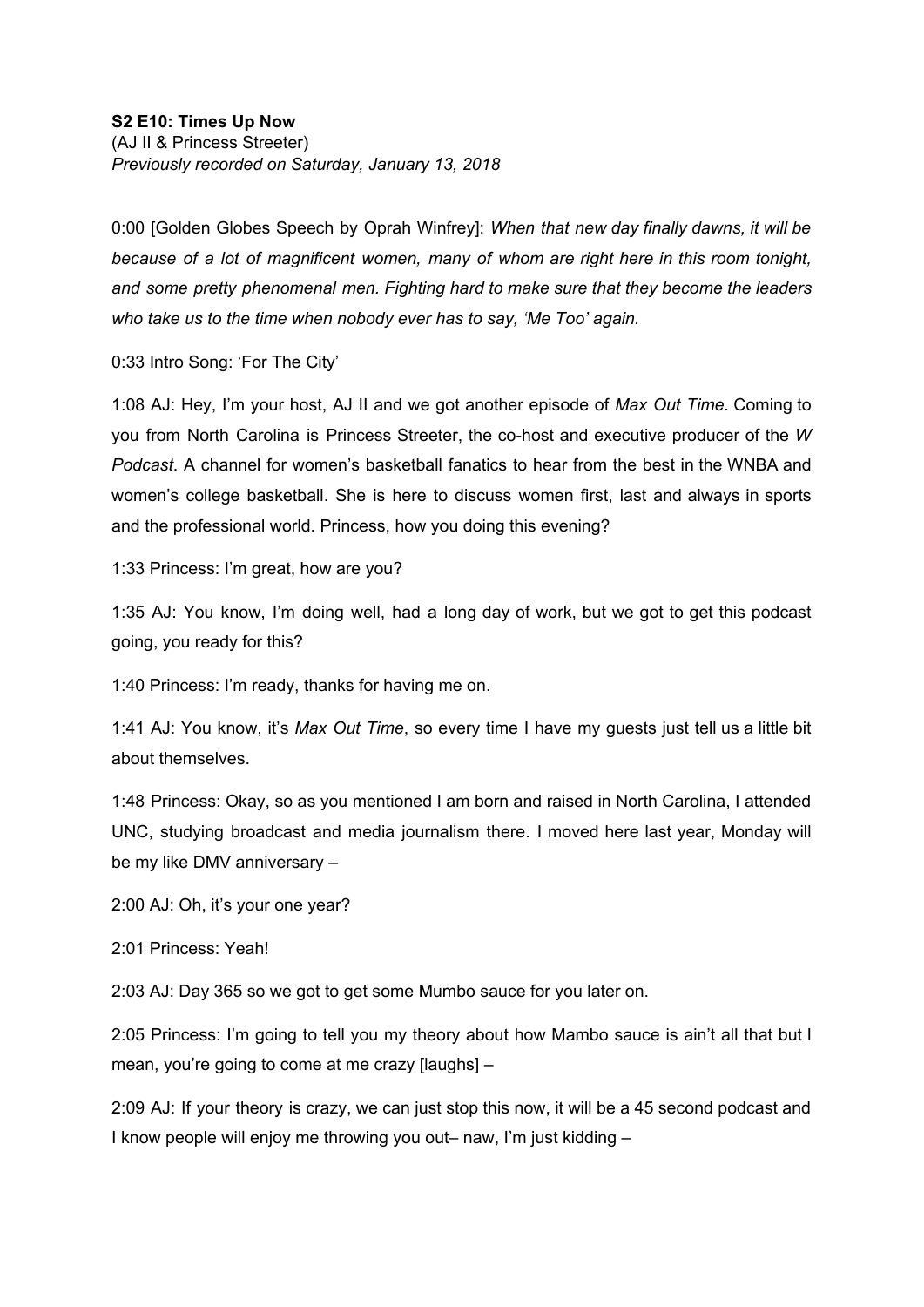0:00 [Golden Globes Speech by Oprah Winfrey]: *When that new day finally dawns, it will be*

*because of a lot of magnificent women, many of whom are right here in this room tonight, and some pretty phenomenal men. Fighting hard to make sure that they become the leaders who take us to the time when nobody ever has to say, 'Me Too' again.*

0:33 Intro Song: 'For The City'

1:08 AJ: Hey, I'm your host, AJ II and we got another episode of *Max Out Time.* Coming to you from North Carolina is Princess Streeter, the co-host and executive producer of the *W Podcast*. A channel for women's basketball fanatics to hear from the best in the WNBA and women's college basketball. She is here to discuss women first, last and always in sports and the professional world. Princess, how you doing this evening?

1:33 Princess: I'm great, how are you?

1:35 AJ: You know, I'm doing well, had a long day of work, but we got to get this podcast going, you ready for this?

1:40 Princess: I'm ready, thanks for having me on.

1:41 AJ: You know, it's *Max Out Time*, so every time I have my guests just tell us a little bit about themselves.

1:48 Princess: Okay, so as you mentioned I am born and raised in North Carolina, I attended UNC, studying broadcast and media journalism there. I moved here last year, Monday will be my like DMV anniversary –

2:00 AJ: Oh, it's your one year?

2:01 Princess: Yeah!

2:03 AJ: Day 365 so we got to get some Mumbo sauce for you later on.

2:05 Princess: I'm going to tell you my theory about how Mambo sauce is ain't all that but I mean, you're going to come at me crazy [laughs] –

2:09 AJ: If your theory is crazy, we can just stop this now, it will be a 45 second podcast and I know people will enjoy me throwing you out– naw, I'm just kidding –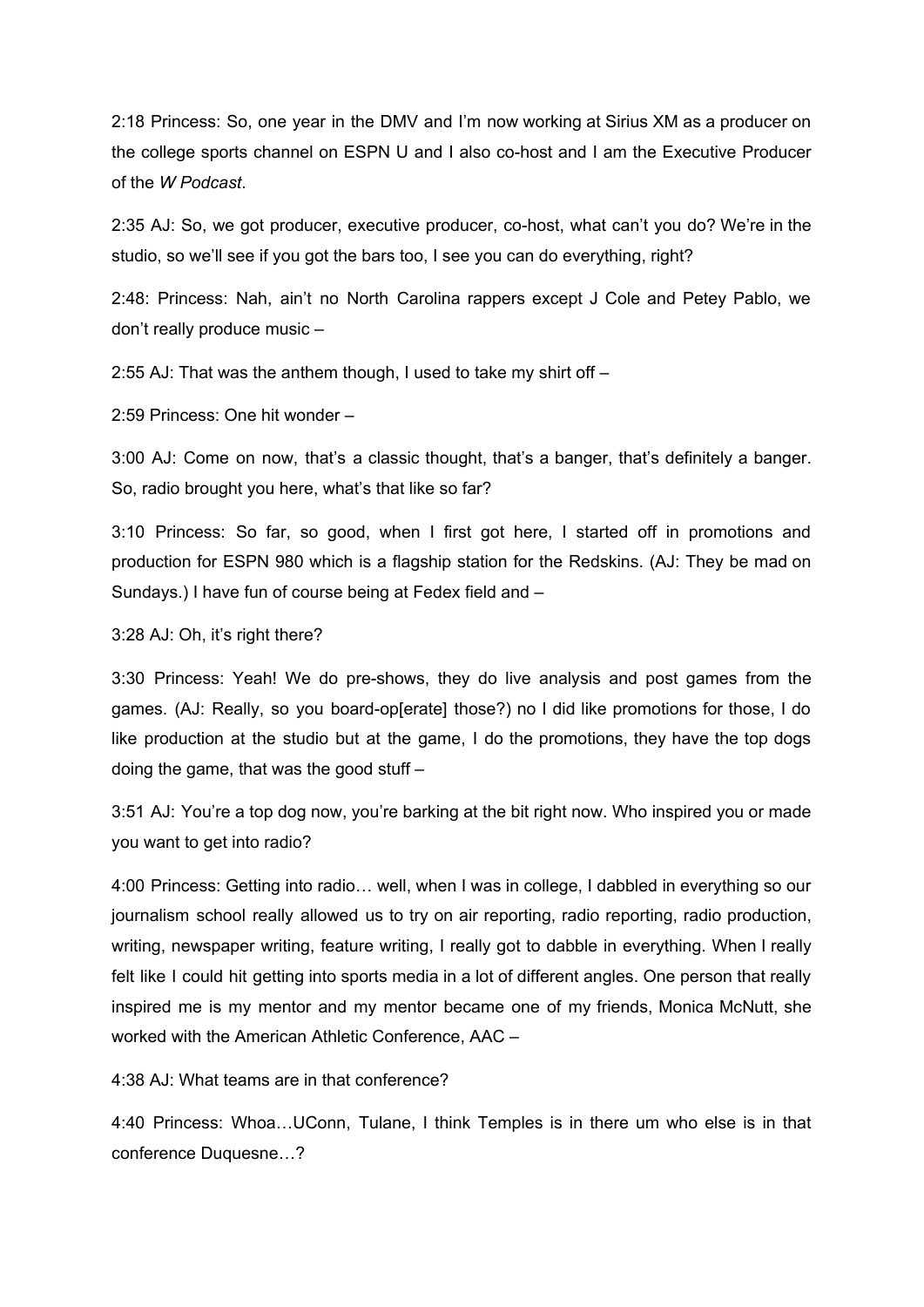2:18 Princess: So, one year in the DMV and I'm now working at Sirius XM as a producer on the college sports channel on ESPN U and I also co-host and I am the Executive Producer of the *W Podcast*.

2:35 AJ: So, we got producer, executive producer, co-host, what can't you do? We're in the studio, so we'll see if you got the bars too, I see you can do everything, right?

2:48: Princess: Nah, ain't no North Carolina rappers except J Cole and Petey Pablo, we don't really produce music –

2:55 AJ: That was the anthem though, I used to take my shirt off –

2:59 Princess: One hit wonder –

3:00 AJ: Come on now, that's a classic thought, that's a banger, that's definitely a banger. So, radio brought you here, what's that like so far?

3:10 Princess: So far, so good, when I first got here, I started off in promotions and production for ESPN 980 which is a flagship station for the Redskins. (AJ: They be mad on Sundays.) I have fun of course being at Fedex field and –

3:28 AJ: Oh, it's right there?

3:30 Princess: Yeah! We do pre-shows, they do live analysis and post games from the games. (AJ: Really, so you board-op[erate] those?) no I did like promotions for those, I do like production at the studio but at the game, I do the promotions, they have the top dogs doing the game, that was the good stuff –

3:51 AJ: You're a top dog now, you're barking at the bit right now. Who inspired you or made you want to get into radio?

4:00 Princess: Getting into radio… well, when I was in college, I dabbled in everything so our journalism school really allowed us to try on air reporting, radio reporting, radio production, writing, newspaper writing, feature writing, I really got to dabble in everything. When I really felt like I could hit getting into sports media in a lot of different angles. One person that really inspired me is my mentor and my mentor became one of my friends, Monica McNutt, she worked with the American Athletic Conference, AAC –

4:38 AJ: What teams are in that conference?

4:40 Princess: Whoa…UConn, Tulane, I think Temples is in there um who else is in that conference Duquesne…?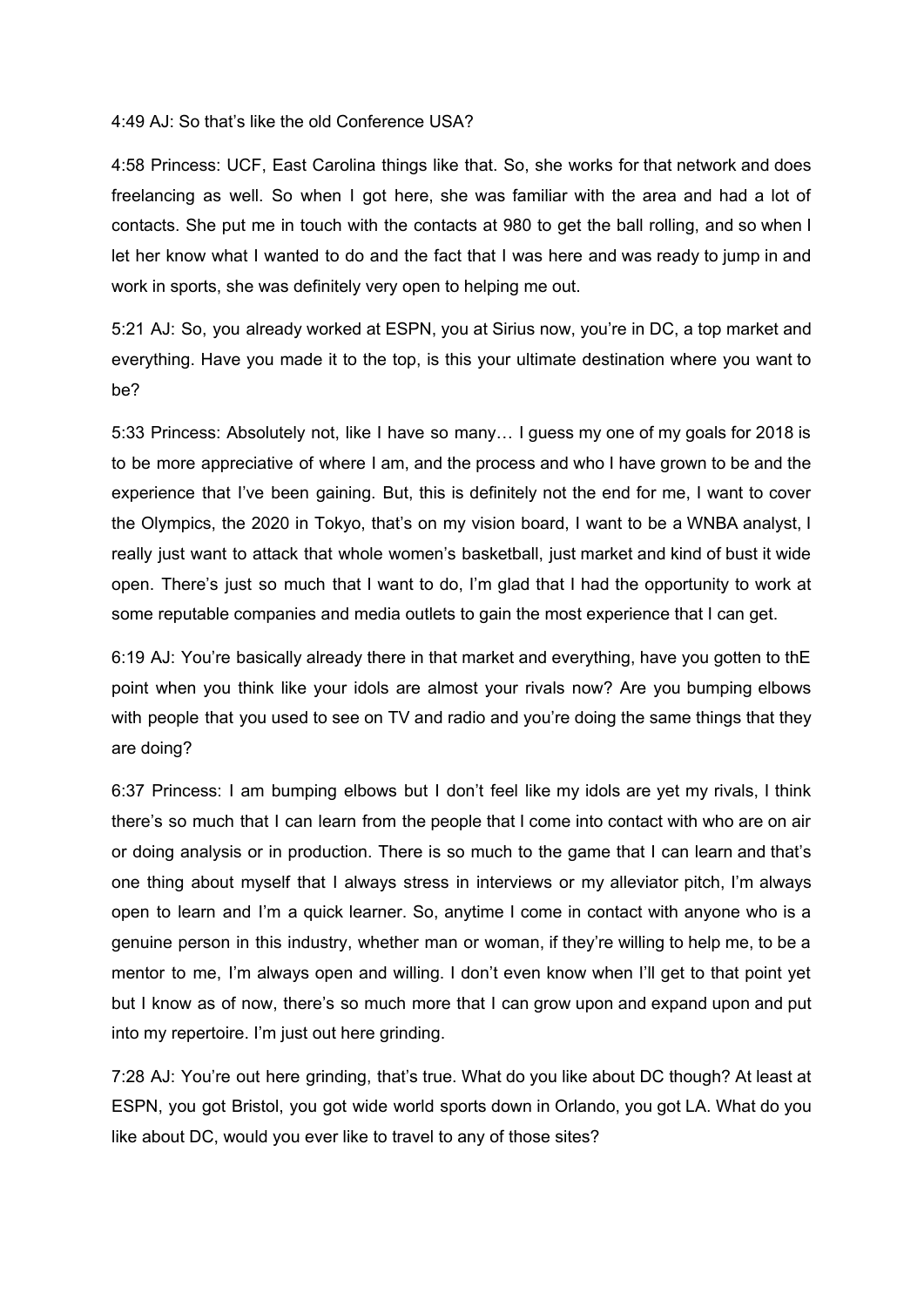## 4:49 AJ: So that's like the old Conference USA?

4:58 Princess: UCF, East Carolina things like that. So, she works for that network and does freelancing as well. So when I got here, she was familiar with the area and had a lot of contacts. She put me in touch with the contacts at 980 to get the ball rolling, and so when I let her know what I wanted to do and the fact that I was here and was ready to jump in and work in sports, she was definitely very open to helping me out.

5:21 AJ: So, you already worked at ESPN, you at Sirius now, you're in DC, a top market and everything. Have you made it to the top, is this your ultimate destination where you want to be?

5:33 Princess: Absolutely not, like I have so many… I guess my one of my goals for 2018 is to be more appreciative of where I am, and the process and who I have grown to be and the experience that I've been gaining. But, this is definitely not the end for me, I want to cover the Olympics, the 2020 in Tokyo, that's on my vision board, I want to be a WNBA analyst, I really just want to attack that whole women's basketball, just market and kind of bust it wide open. There's just so much that I want to do, I'm glad that I had the opportunity to work at some reputable companies and media outlets to gain the most experience that I can get.

6:19 AJ: You're basically already there in that market and everything, have you gotten to thE point when you think like your idols are almost your rivals now? Are you bumping elbows with people that you used to see on TV and radio and you're doing the same things that they are doing?

6:37 Princess: I am bumping elbows but I don't feel like my idols are yet my rivals, I think there's so much that I can learn from the people that I come into contact with who are on air or doing analysis or in production. There is so much to the game that I can learn and that's one thing about myself that I always stress in interviews or my alleviator pitch, I'm always open to learn and I'm a quick learner. So, anytime I come in contact with anyone who is a genuine person in this industry, whether man or woman, if they're willing to help me, to be a mentor to me, I'm always open and willing. I don't even know when I'll get to that point yet but I know as of now, there's so much more that I can grow upon and expand upon and put into my repertoire. I'm just out here grinding.

7:28 AJ: You're out here grinding, that's true. What do you like about DC though? At least at ESPN, you got Bristol, you got wide world sports down in Orlando, you got LA. What do you like about DC, would you ever like to travel to any of those sites?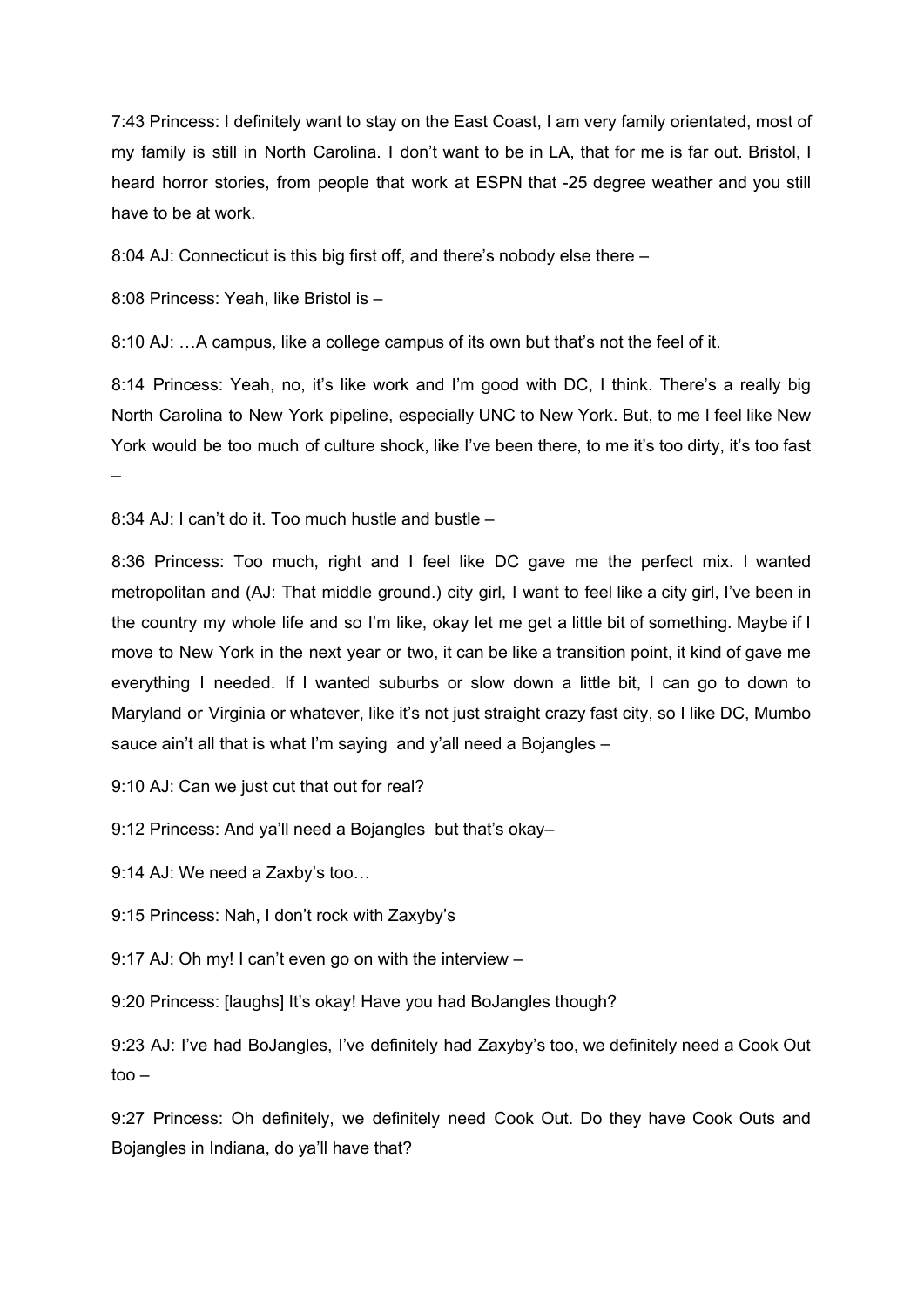7:43 Princess: I definitely want to stay on the East Coast, I am very family orientated, most of my family is still in North Carolina. I don't want to be in LA, that for me is far out. Bristol, I heard horror stories, from people that work at ESPN that -25 degree weather and you still have to be at work.

8:04 AJ: Connecticut is this big first off, and there's nobody else there –

8:08 Princess: Yeah, like Bristol is –

8:10 AJ: …A campus, like a college campus of its own but that's not the feel of it.

8:14 Princess: Yeah, no, it's like work and I'm good with DC, I think. There's a really big North Carolina to New York pipeline, especially UNC to New York. But, to me I feel like New York would be too much of culture shock, like I've been there, to me it's too dirty, it's too fast –

8:34 AJ: I can't do it. Too much hustle and bustle –

8:36 Princess: Too much, right and I feel like DC gave me the perfect mix. I wanted metropolitan and (AJ: That middle ground.) city girl, I want to feel like a city girl, I've been in the country my whole life and so I'm like, okay let me get a little bit of something. Maybe if I move to New York in the next year or two, it can be like a transition point, it kind of gave me everything I needed. If I wanted suburbs or slow down a little bit, I can go to down to Maryland or Virginia or whatever, like it's not just straight crazy fast city, so I like DC, Mumbo sauce ain't all that is what I'm saying and y'all need a Bojangles –

9:10 AJ: Can we just cut that out for real?

9:12 Princess: And ya'll need a Bojangles but that's okay–

9:14 AJ: We need a Zaxby's too…

9:15 Princess: Nah, I don't rock with Zaxyby's

9:17 AJ: Oh my! I can't even go on with the interview –

9:20 Princess: [laughs] It's okay! Have you had BoJangles though?

9:23 AJ: I've had BoJangles, I've definitely had Zaxyby's too, we definitely need a Cook Out too –

9:27 Princess: Oh definitely, we definitely need Cook Out. Do they have Cook Outs and Bojangles in Indiana, do ya'll have that?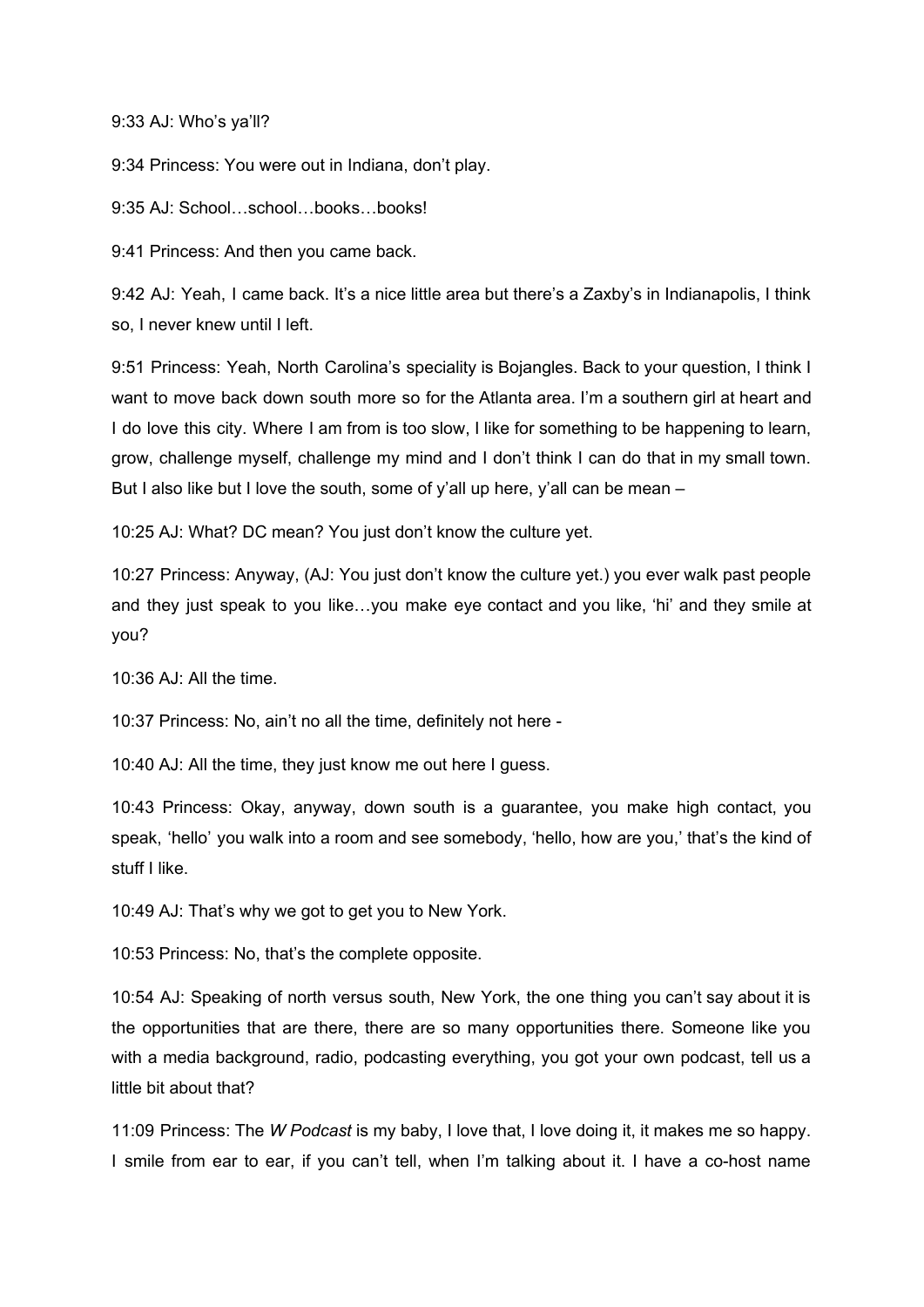## 9:33 AJ: Who's ya'll?

9:34 Princess: You were out in Indiana, don't play.

9:35 AJ: School…school…books…books!

9:41 Princess: And then you came back.

9:42 AJ: Yeah, I came back. It's a nice little area but there's a Zaxby's in Indianapolis, I think so, I never knew until I left.

9:51 Princess: Yeah, North Carolina's speciality is Bojangles. Back to your question, I think I want to move back down south more so for the Atlanta area. I'm a southern girl at heart and I do love this city. Where I am from is too slow, I like for something to be happening to learn, grow, challenge myself, challenge my mind and I don't think I can do that in my small town. But I also like but I love the south, some of y'all up here, y'all can be mean –

10:25 AJ: What? DC mean? You just don't know the culture yet.

10:27 Princess: Anyway, (AJ: You just don't know the culture yet.) you ever walk past people and they just speak to you like…you make eye contact and you like, 'hi' and they smile at you?

10:36 AJ: All the time.

10:37 Princess: No, ain't no all the time, definitely not here -

10:40 AJ: All the time, they just know me out here I guess.

10:43 Princess: Okay, anyway, down south is a guarantee, you make high contact, you speak, 'hello' you walk into a room and see somebody, 'hello, how are you,' that's the kind of stuff I like.

10:49 AJ: That's why we got to get you to New York.

10:53 Princess: No, that's the complete opposite.

10:54 AJ: Speaking of north versus south, New York, the one thing you can't say about it is the opportunities that are there, there are so many opportunities there. Someone like you with a media background, radio, podcasting everything, you got your own podcast, tell us a little bit about that?

11:09 Princess: The *W Podcast* is my baby, I love that, I love doing it, it makes me so happy. I smile from ear to ear, if you can't tell, when I'm talking about it. I have a co-host name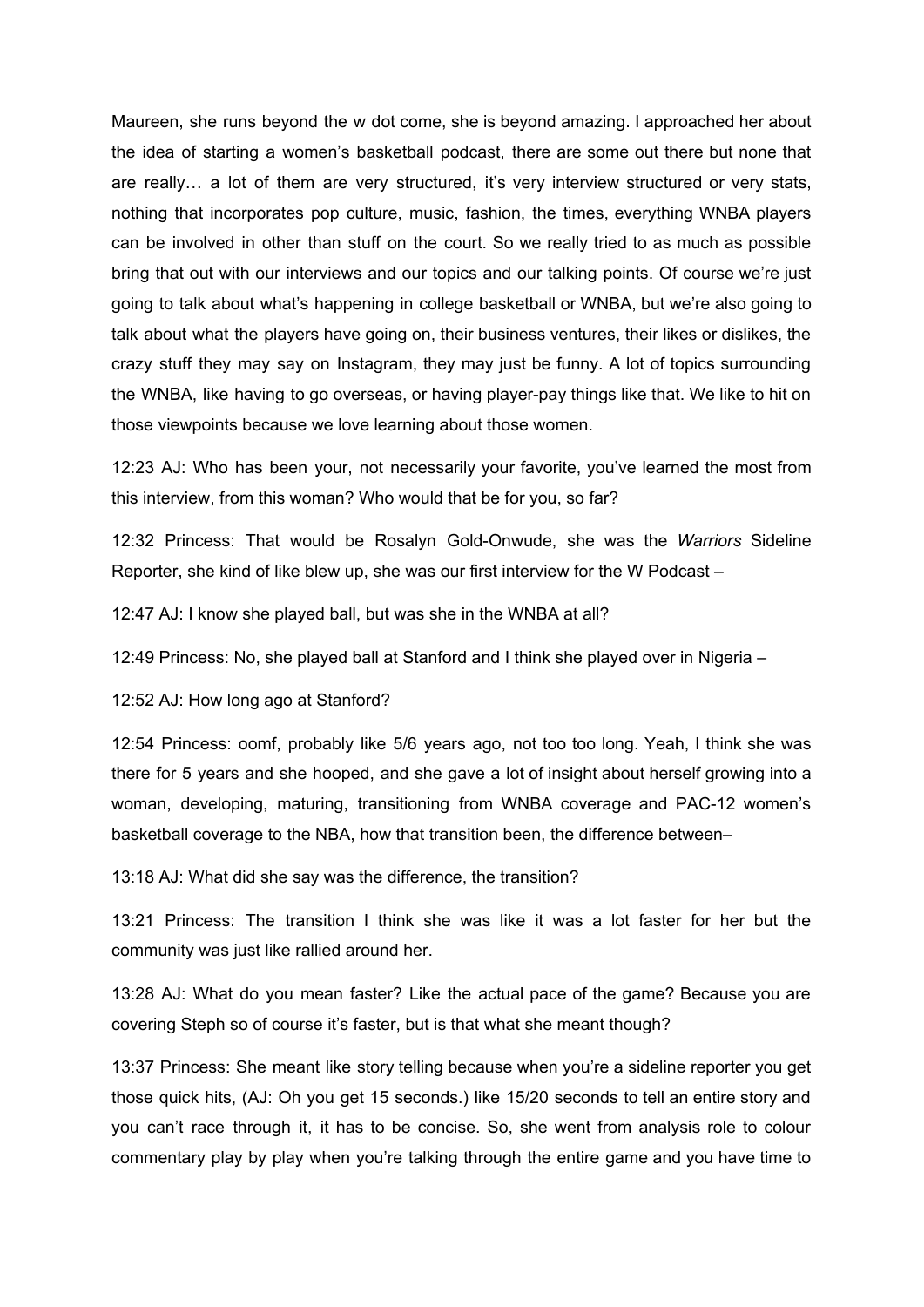Maureen, she runs beyond the w dot come, she is beyond amazing. I approached her about the idea of starting a women's basketball podcast, there are some out there but none that are really… a lot of them are very structured, it's very interview structured or very stats, nothing that incorporates pop culture, music, fashion, the times, everything WNBA players can be involved in other than stuff on the court. So we really tried to as much as possible bring that out with our interviews and our topics and our talking points. Of course we're just going to talk about what's happening in college basketball or WNBA, but we're also going to talk about what the players have going on, their business ventures, their likes or dislikes, the crazy stuff they may say on Instagram, they may just be funny. A lot of topics surrounding the WNBA, like having to go overseas, or having player-pay things like that. We like to hit on those viewpoints because we love learning about those women.

12:23 AJ: Who has been your, not necessarily your favorite, you've learned the most from this interview, from this woman? Who would that be for you, so far?

12:32 Princess: That would be Rosalyn Gold-Onwude, she was the *Warriors* Sideline Reporter, she kind of like blew up, she was our first interview for the W Podcast –

12:47 AJ: I know she played ball, but was she in the WNBA at all?

12:49 Princess: No, she played ball at Stanford and I think she played over in Nigeria –

12:52 AJ: How long ago at Stanford?

12:54 Princess: oomf, probably like 5/6 years ago, not too too long. Yeah, I think she was there for 5 years and she hooped, and she gave a lot of insight about herself growing into a woman, developing, maturing, transitioning from WNBA coverage and PAC-12 women's basketball coverage to the NBA, how that transition been, the difference between–

13:18 AJ: What did she say was the difference, the transition?

13:21 Princess: The transition I think she was like it was a lot faster for her but the community was just like rallied around her.

13:28 AJ: What do you mean faster? Like the actual pace of the game? Because you are covering Steph so of course it's faster, but is that what she meant though?

13:37 Princess: She meant like story telling because when you're a sideline reporter you get those quick hits, (AJ: Oh you get 15 seconds.) like 15/20 seconds to tell an entire story and you can't race through it, it has to be concise. So, she went from analysis role to colour commentary play by play when you're talking through the entire game and you have time to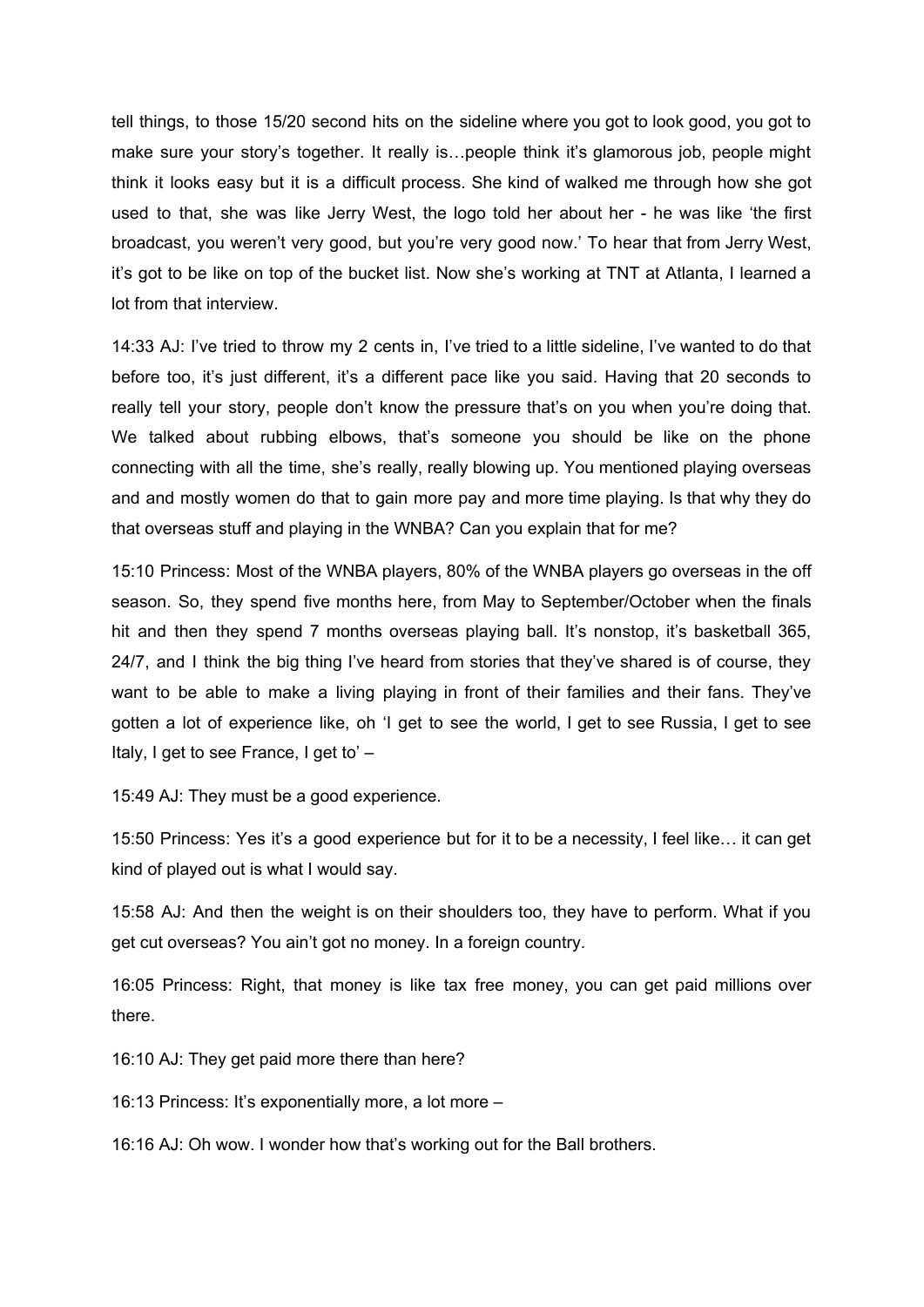tell things, to those 15/20 second hits on the sideline where you got to look good, you got to make sure your story's together. It really is…people think it's glamorous job, people might think it looks easy but it is a difficult process. She kind of walked me through how she got used to that, she was like Jerry West, the logo told her about her - he was like 'the first broadcast, you weren't very good, but you're very good now.' To hear that from Jerry West, it's got to be like on top of the bucket list. Now she's working at TNT at Atlanta, I learned a lot from that interview.

14:33 AJ: I've tried to throw my 2 cents in, I've tried to a little sideline, I've wanted to do that before too, it's just different, it's a different pace like you said. Having that 20 seconds to really tell your story, people don't know the pressure that's on you when you're doing that. We talked about rubbing elbows, that's someone you should be like on the phone connecting with all the time, she's really, really blowing up. You mentioned playing overseas and and mostly women do that to gain more pay and more time playing. Is that why they do that overseas stuff and playing in the WNBA? Can you explain that for me?

15:10 Princess: Most of the WNBA players, 80% of the WNBA players go overseas in the off season. So, they spend five months here, from May to September/October when the finals hit and then they spend 7 months overseas playing ball. It's nonstop, it's basketball 365, 24/7, and I think the big thing I've heard from stories that they've shared is of course, they want to be able to make a living playing in front of their families and their fans. They've gotten a lot of experience like, oh 'I get to see the world, I get to see Russia, I get to see Italy, I get to see France, I get to' –

15:49 AJ: They must be a good experience.

15:50 Princess: Yes it's a good experience but for it to be a necessity, I feel like… it can get kind of played out is what I would say.

15:58 AJ: And then the weight is on their shoulders too, they have to perform. What if you get cut overseas? You ain't got no money. In a foreign country.

16:05 Princess: Right, that money is like tax free money, you can get paid millions over there.

16:10 AJ: They get paid more there than here?

16:13 Princess: It's exponentially more, a lot more –

16:16 AJ: Oh wow. I wonder how that's working out for the Ball brothers.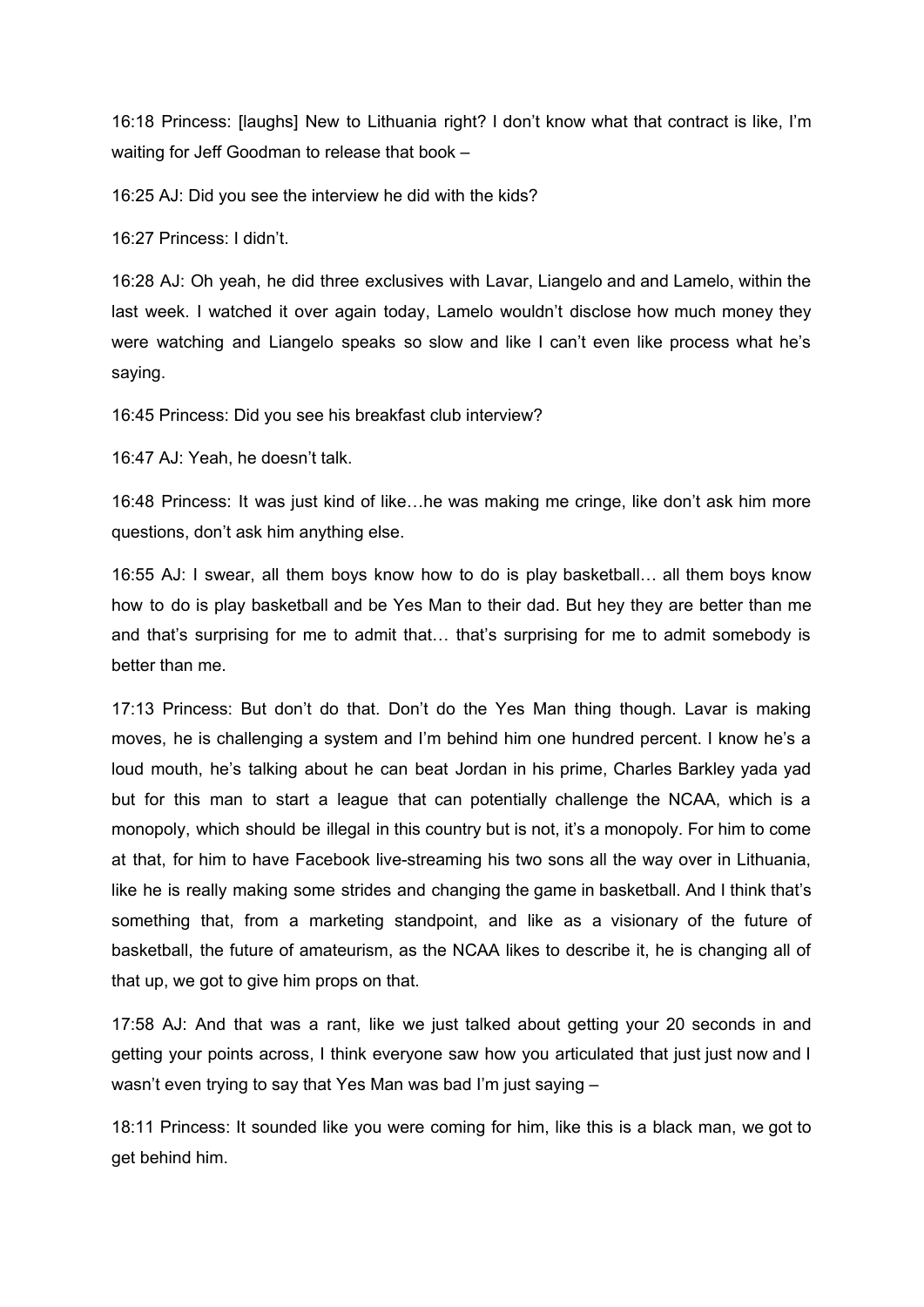16:18 Princess: [laughs] New to Lithuania right? I don't know what that contract is like, I'm waiting for Jeff Goodman to release that book –

16:25 AJ: Did you see the interview he did with the kids?

16:27 Princess: I didn't.

16:28 AJ: Oh yeah, he did three exclusives with Lavar, Liangelo and and Lamelo, within the last week. I watched it over again today, Lamelo wouldn't disclose how much money they were watching and Liangelo speaks so slow and like I can't even like process what he's saying.

16:45 Princess: Did you see his breakfast club interview?

16:47 AJ: Yeah, he doesn't talk.

16:48 Princess: It was just kind of like…he was making me cringe, like don't ask him more questions, don't ask him anything else.

16:55 AJ: I swear, all them boys know how to do is play basketball… all them boys know how to do is play basketball and be Yes Man to their dad. But hey they are better than me and that's surprising for me to admit that… that's surprising for me to admit somebody is better than me.

17:13 Princess: But don't do that. Don't do the Yes Man thing though. Lavar is making moves, he is challenging a system and I'm behind him one hundred percent. I know he's a loud mouth, he's talking about he can beat Jordan in his prime, Charles Barkley yada yad but for this man to start a league that can potentially challenge the NCAA, which is a monopoly, which should be illegal in this country but is not, it's a monopoly. For him to come at that, for him to have Facebook live-streaming his two sons all the way over in Lithuania, like he is really making some strides and changing the game in basketball. And I think that's something that, from a marketing standpoint, and like as a visionary of the future of basketball, the future of amateurism, as the NCAA likes to describe it, he is changing all of that up, we got to give him props on that.

17:58 AJ: And that was a rant, like we just talked about getting your 20 seconds in and getting your points across, I think everyone saw how you articulated that just just now and I wasn't even trying to say that Yes Man was bad I'm just saying –

18:11 Princess: It sounded like you were coming for him, like this is a black man, we got to get behind him.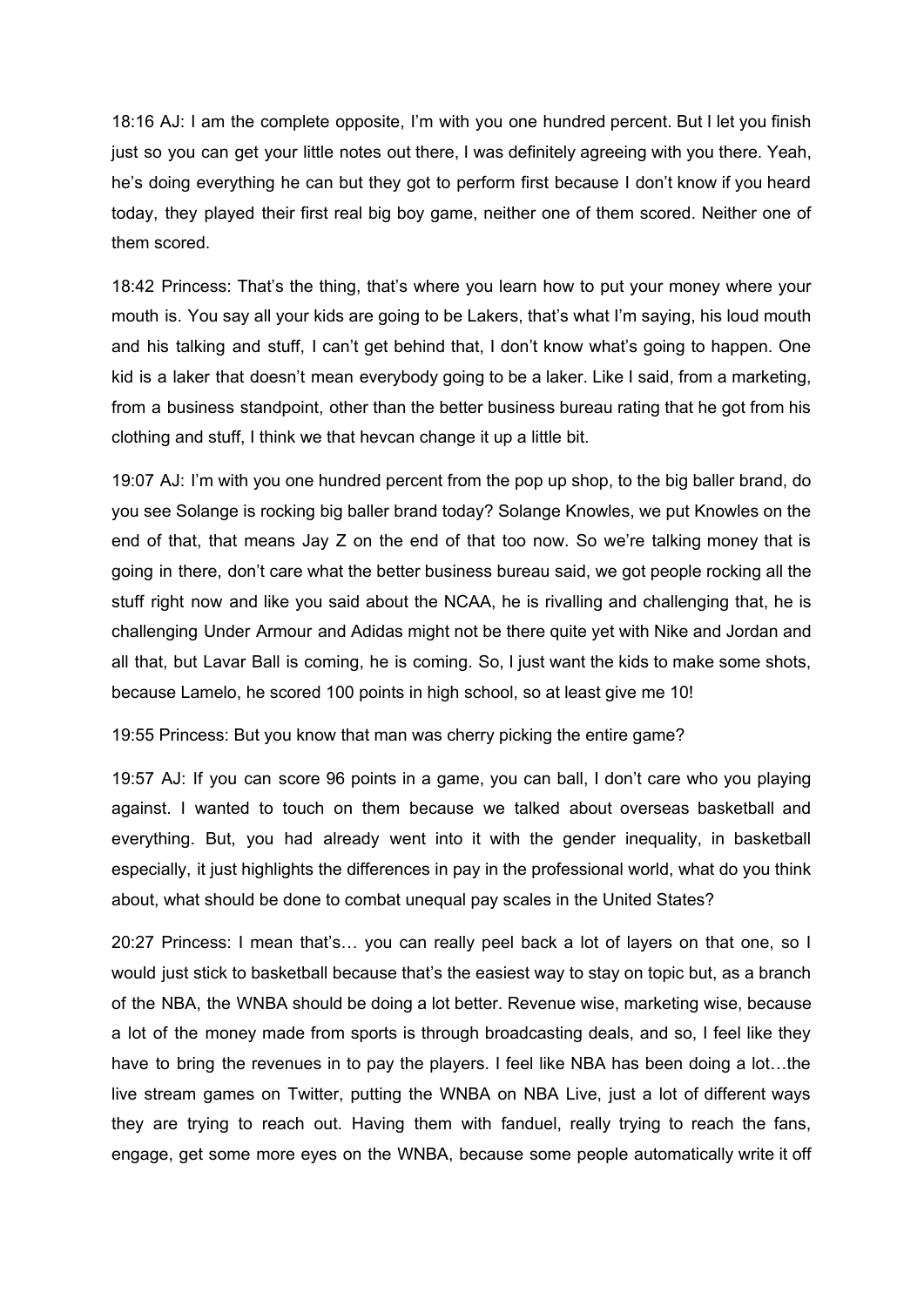18:16 AJ: I am the complete opposite, I'm with you one hundred percent. But I let you finish just so you can get your little notes out there, I was definitely agreeing with you there. Yeah, he's doing everything he can but they got to perform first because I don't know if you heard today, they played their first real big boy game, neither one of them scored. Neither one of them scored.

18:42 Princess: That's the thing, that's where you learn how to put your money where your mouth is. You say all your kids are going to be Lakers, that's what I'm saying, his loud mouth and his talking and stuff, I can't get behind that, I don't know what's going to happen. One kid is a laker that doesn't mean everybody going to be a laker. Like I said, from a marketing, from a business standpoint, other than the better business bureau rating that he got from his clothing and stuff, I think we that hevcan change it up a little bit.

19:07 AJ: I'm with you one hundred percent from the pop up shop, to the big baller brand, do you see Solange is rocking big baller brand today? Solange Knowles, we put Knowles on the end of that, that means Jay Z on the end of that too now. So we're talking money that is going in there, don't care what the better business bureau said, we got people rocking all the stuff right now and like you said about the NCAA, he is rivalling and challenging that, he is challenging Under Armour and Adidas might not be there quite yet with Nike and Jordan and all that, but Lavar Ball is coming, he is coming. So, I just want the kids to make some shots, because Lamelo, he scored 100 points in high school, so at least give me 10!

19:55 Princess: But you know that man was cherry picking the entire game?

19:57 AJ: If you can score 96 points in a game, you can ball, I don't care who you playing against. I wanted to touch on them because we talked about overseas basketball and everything. But, you had already went into it with the gender inequality, in basketball especially, it just highlights the differences in pay in the professional world, what do you think about, what should be done to combat unequal pay scales in the United States?

20:27 Princess: I mean that's… you can really peel back a lot of layers on that one, so I would just stick to basketball because that's the easiest way to stay on topic but, as a branch of the NBA, the WNBA should be doing a lot better. Revenue wise, marketing wise, because a lot of the money made from sports is through broadcasting deals, and so, I feel like they have to bring the revenues in to pay the players. I feel like NBA has been doing a lot…the live stream games on Twitter, putting the WNBA on NBA Live, just a lot of different ways they are trying to reach out. Having them with fanduel, really trying to reach the fans, engage, get some more eyes on the WNBA, because some people automatically write it off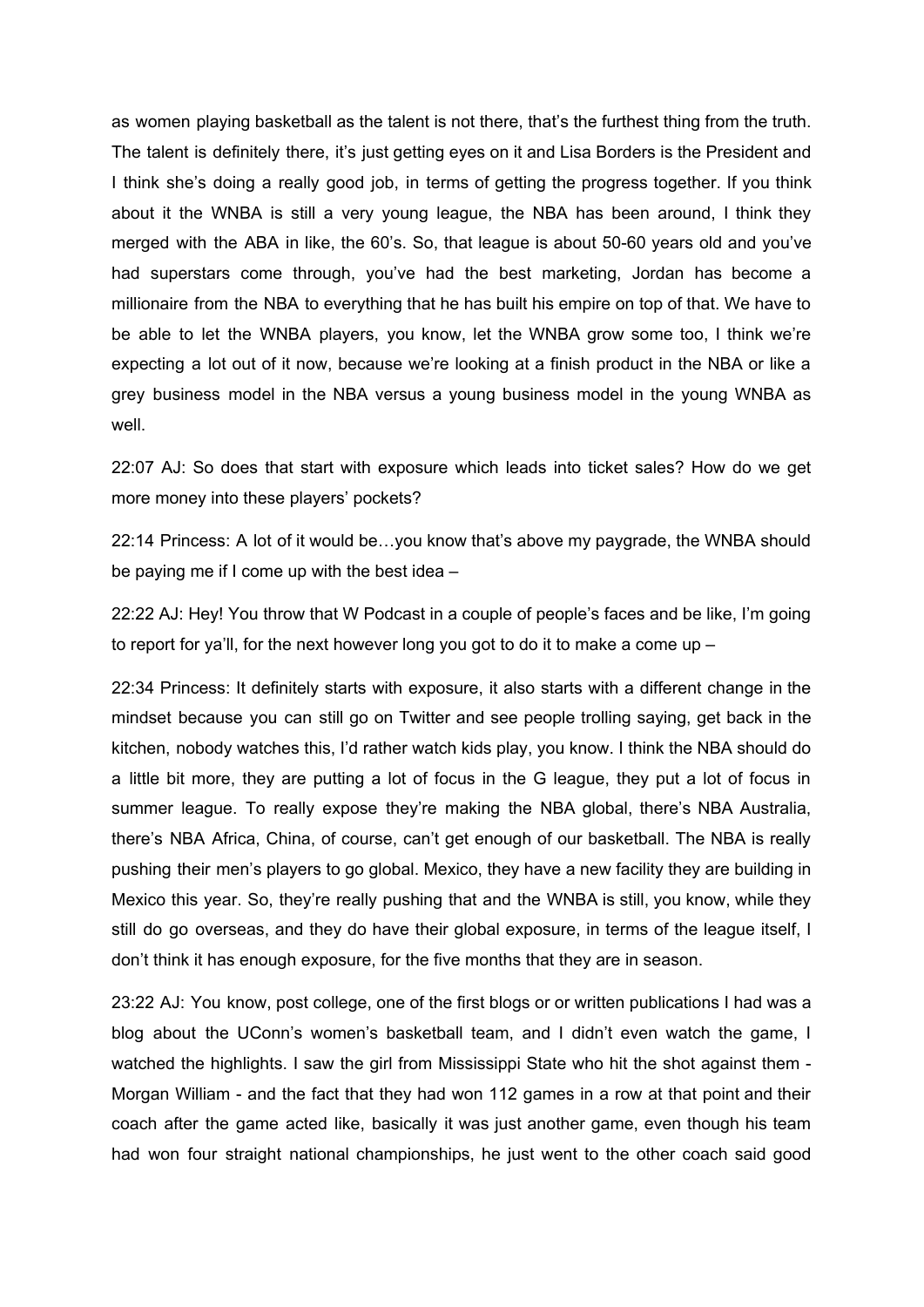as women playing basketball as the talent is not there, that's the furthest thing from the truth. The talent is definitely there, it's just getting eyes on it and Lisa Borders is the President and I think she's doing a really good job, in terms of getting the progress together. If you think about it the WNBA is still a very young league, the NBA has been around, I think they merged with the ABA in like, the 60's. So, that league is about 50-60 years old and you've had superstars come through, you've had the best marketing, Jordan has become a millionaire from the NBA to everything that he has built his empire on top of that. We have to be able to let the WNBA players, you know, let the WNBA grow some too, I think we're expecting a lot out of it now, because we're looking at a finish product in the NBA or like a grey business model in the NBA versus a young business model in the young WNBA as well.

22:07 AJ: So does that start with exposure which leads into ticket sales? How do we get more money into these players' pockets?

22:14 Princess: A lot of it would be…you know that's above my paygrade, the WNBA should be paying me if I come up with the best idea –

22:22 AJ: Hey! You throw that W Podcast in a couple of people's faces and be like, I'm going to report for ya'll, for the next however long you got to do it to make a come up –

22:34 Princess: It definitely starts with exposure, it also starts with a different change in the mindset because you can still go on Twitter and see people trolling saying, get back in the kitchen, nobody watches this, I'd rather watch kids play, you know. I think the NBA should do a little bit more, they are putting a lot of focus in the G league, they put a lot of focus in summer league. To really expose they're making the NBA global, there's NBA Australia, there's NBA Africa, China, of course, can't get enough of our basketball. The NBA is really pushing their men's players to go global. Mexico, they have a new facility they are building in Mexico this year. So, they're really pushing that and the WNBA is still, you know, while they still do go overseas, and they do have their global exposure, in terms of the league itself, I don't think it has enough exposure, for the five months that they are in season.

23:22 AJ: You know, post college, one of the first blogs or or written publications I had was a blog about the UConn's women's basketball team, and I didn't even watch the game, I watched the highlights. I saw the girl from Mississippi State who hit the shot against them - Morgan William - and the fact that they had won 112 games in a row at that point and their coach after the game acted like, basically it was just another game, even though his team had won four straight national championships, he just went to the other coach said good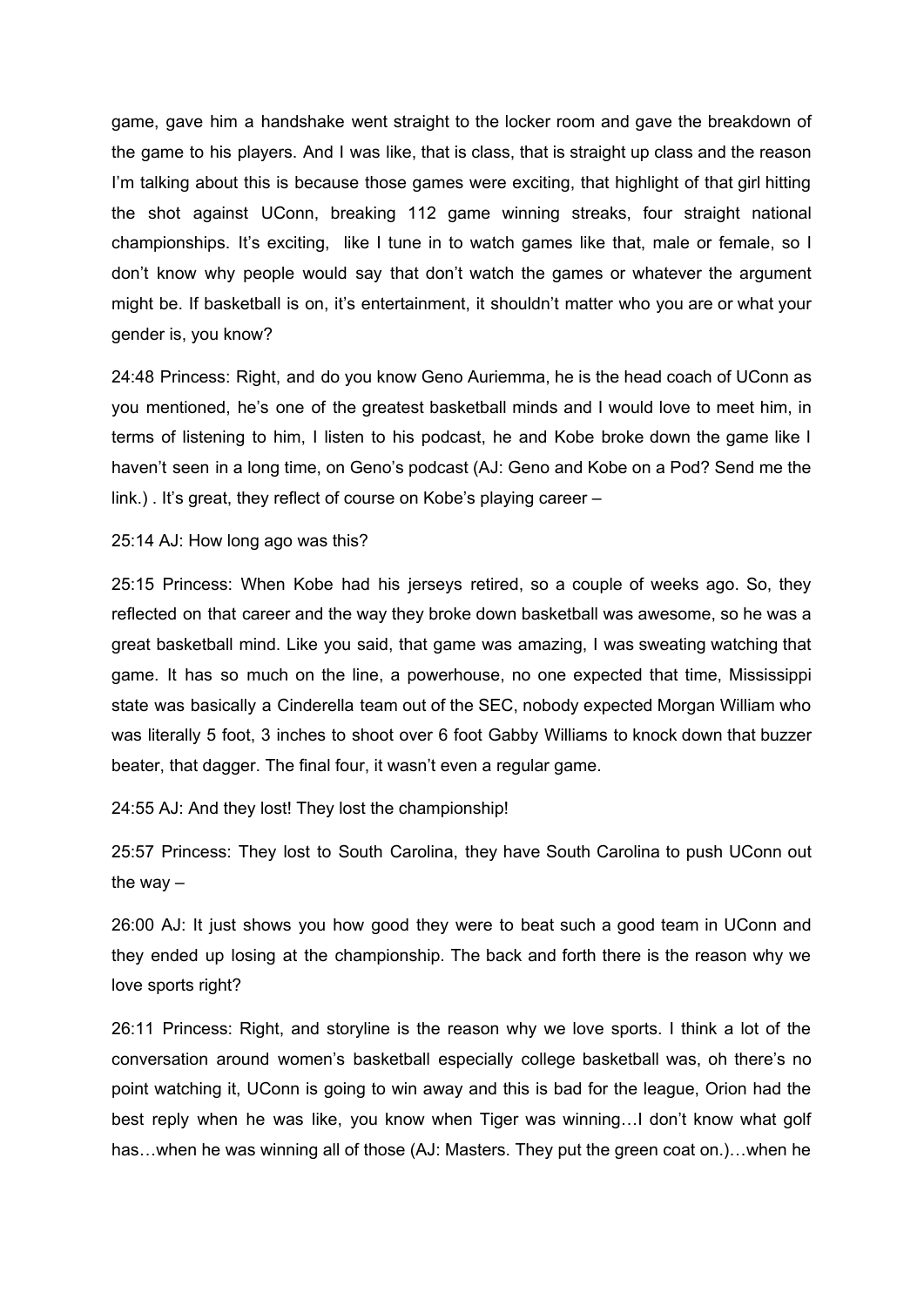game, gave him a handshake went straight to the locker room and gave the breakdown of the game to his players. And I was like, that is class, that is straight up class and the reason I'm talking about this is because those games were exciting, that highlight of that girl hitting the shot against UConn, breaking 112 game winning streaks, four straight national championships. It's exciting, like I tune in to watch games like that, male or female, so I don't know why people would say that don't watch the games or whatever the argument might be. If basketball is on, it's entertainment, it shouldn't matter who you are or what your gender is, you know?

24:48 Princess: Right, and do you know Geno Auriemma, he is the head coach of UConn as you mentioned, he's one of the greatest basketball minds and I would love to meet him, in terms of listening to him, I listen to his podcast, he and Kobe broke down the game like I haven't seen in a long time, on Geno's podcast (AJ: Geno and Kobe on a Pod? Send me the link.) . It's great, they reflect of course on Kobe's playing career –

25:14 AJ: How long ago was this?

25:15 Princess: When Kobe had his jerseys retired, so a couple of weeks ago. So, they reflected on that career and the way they broke down basketball was awesome, so he was a great basketball mind. Like you said, that game was amazing, I was sweating watching that game. It has so much on the line, a powerhouse, no one expected that time, Mississippi state was basically a Cinderella team out of the SEC, nobody expected Morgan William who was literally 5 foot, 3 inches to shoot over 6 foot Gabby Williams to knock down that buzzer beater, that dagger. The final four, it wasn't even a regular game.

24:55 AJ: And they lost! They lost the championship!

25:57 Princess: They lost to South Carolina, they have South Carolina to push UConn out the way  $-$ 

26:00 AJ: It just shows you how good they were to beat such a good team in UConn and they ended up losing at the championship. The back and forth there is the reason why we love sports right?

26:11 Princess: Right, and storyline is the reason why we love sports. I think a lot of the conversation around women's basketball especially college basketball was, oh there's no point watching it, UConn is going to win away and this is bad for the league, Orion had the best reply when he was like, you know when Tiger was winning…I don't know what golf has…when he was winning all of those (AJ: Masters. They put the green coat on.)…when he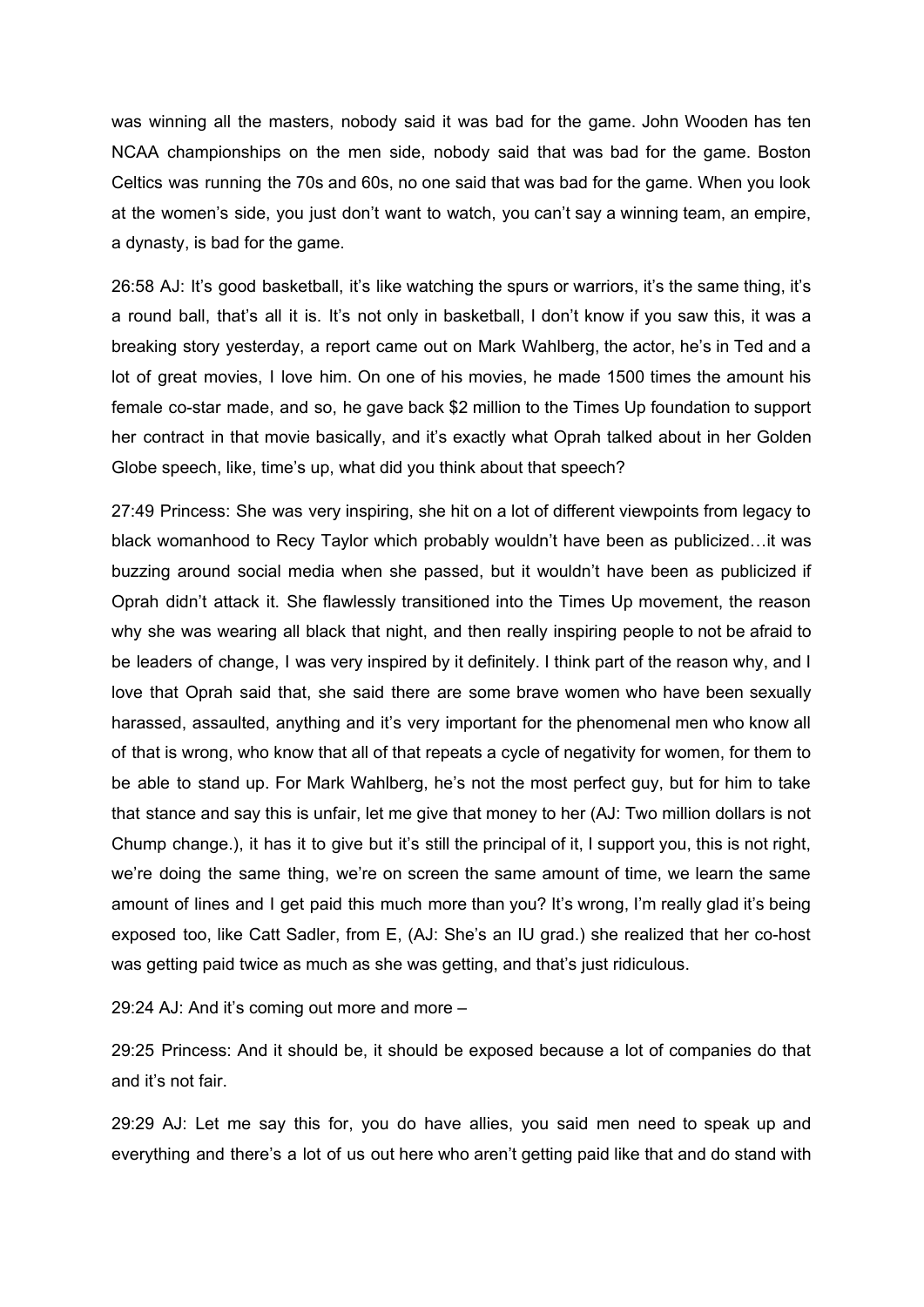was winning all the masters, nobody said it was bad for the game. John Wooden has ten NCAA championships on the men side, nobody said that was bad for the game. Boston Celtics was running the 70s and 60s, no one said that was bad for the game. When you look at the women's side, you just don't want to watch, you can't say a winning team, an empire, a dynasty, is bad for the game.

26:58 AJ: It's good basketball, it's like watching the spurs or warriors, it's the same thing, it's a round ball, that's all it is. It's not only in basketball, I don't know if you saw this, it was a breaking story yesterday, a report came out on Mark Wahlberg, the actor, he's in Ted and a lot of great movies, I love him. On one of his movies, he made 1500 times the amount his female co-star made, and so, he gave back \$2 million to the Times Up foundation to support her contract in that movie basically, and it's exactly what Oprah talked about in her Golden Globe speech, like, time's up, what did you think about that speech?

27:49 Princess: She was very inspiring, she hit on a lot of different viewpoints from legacy to black womanhood to Recy Taylor which probably wouldn't have been as publicized…it was buzzing around social media when she passed, but it wouldn't have been as publicized if Oprah didn't attack it. She flawlessly transitioned into the Times Up movement, the reason why she was wearing all black that night, and then really inspiring people to not be afraid to be leaders of change, I was very inspired by it definitely. I think part of the reason why, and I love that Oprah said that, she said there are some brave women who have been sexually harassed, assaulted, anything and it's very important for the phenomenal men who know all of that is wrong, who know that all of that repeats a cycle of negativity for women, for them to be able to stand up. For Mark Wahlberg, he's not the most perfect guy, but for him to take that stance and say this is unfair, let me give that money to her (AJ: Two million dollars is not Chump change.), it has it to give but it's still the principal of it, I support you, this is not right, we're doing the same thing, we're on screen the same amount of time, we learn the same amount of lines and I get paid this much more than you? It's wrong, I'm really glad it's being exposed too, like Catt Sadler, from E, (AJ: She's an IU grad.) she realized that her co-host was getting paid twice as much as she was getting, and that's just ridiculous.

29:24 AJ: And it's coming out more and more –

29:25 Princess: And it should be, it should be exposed because a lot of companies do that and it's not fair.

29:29 AJ: Let me say this for, you do have allies, you said men need to speak up and everything and there's a lot of us out here who aren't getting paid like that and do stand with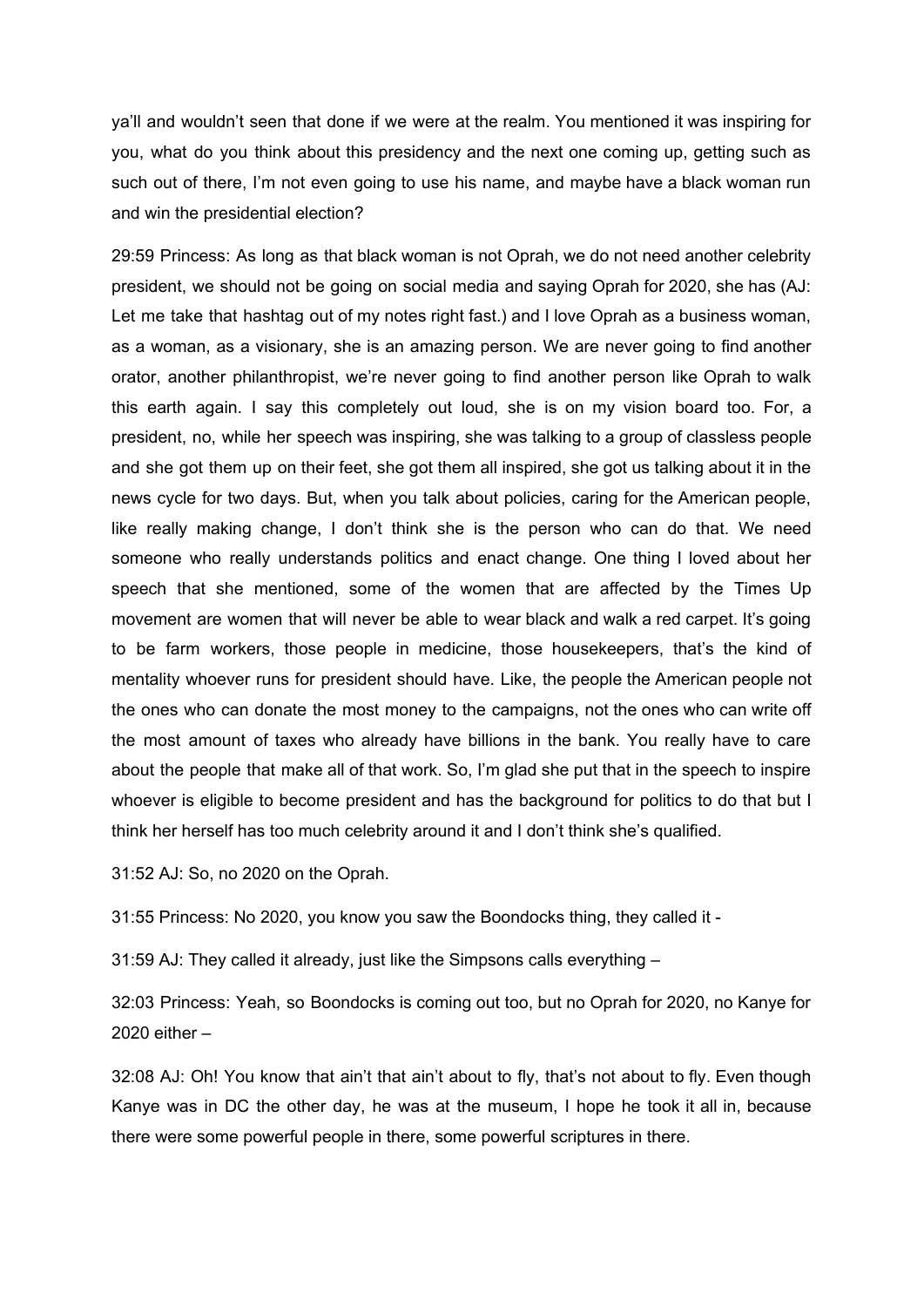ya'll and wouldn't seen that done if we were at the realm. You mentioned it was inspiring for you, what do you think about this presidency and the next one coming up, getting such as such out of there, I'm not even going to use his name, and maybe have a black woman run and win the presidential election?

29:59 Princess: As long as that black woman is not Oprah, we do not need another celebrity president, we should not be going on social media and saying Oprah for 2020, she has (AJ: Let me take that hashtag out of my notes right fast.) and I love Oprah as a business woman, as a woman, as a visionary, she is an amazing person. We are never going to find another orator, another philanthropist, we're never going to find another person like Oprah to walk this earth again. I say this completely out loud, she is on my vision board too. For, a president, no, while her speech was inspiring, she was talking to a group of classless people and she got them up on their feet, she got them all inspired, she got us talking about it in the news cycle for two days. But, when you talk about policies, caring for the American people, like really making change, I don't think she is the person who can do that. We need someone who really understands politics and enact change. One thing I loved about her speech that she mentioned, some of the women that are affected by the Times Up movement are women that will never be able to wear black and walk a red carpet. It's going to be farm workers, those people in medicine, those housekeepers, that's the kind of mentality whoever runs for president should have. Like, the people the American people not the ones who can donate the most money to the campaigns, not the ones who can write off the most amount of taxes who already have billions in the bank. You really have to care about the people that make all of that work. So, I'm glad she put that in the speech to inspire whoever is eligible to become president and has the background for politics to do that but I think her herself has too much celebrity around it and I don't think she's qualified.

31:52 AJ: So, no 2020 on the Oprah.

31:55 Princess: No 2020, you know you saw the Boondocks thing, they called it -

31:59 AJ: They called it already, just like the Simpsons calls everything –

32:03 Princess: Yeah, so Boondocks is coming out too, but no Oprah for 2020, no Kanye for 2020 either –

32:08 AJ: Oh! You know that ain't that ain't about to fly, that's not about to fly. Even though Kanye was in DC the other day, he was at the museum, I hope he took it all in, because there were some powerful people in there, some powerful scriptures in there.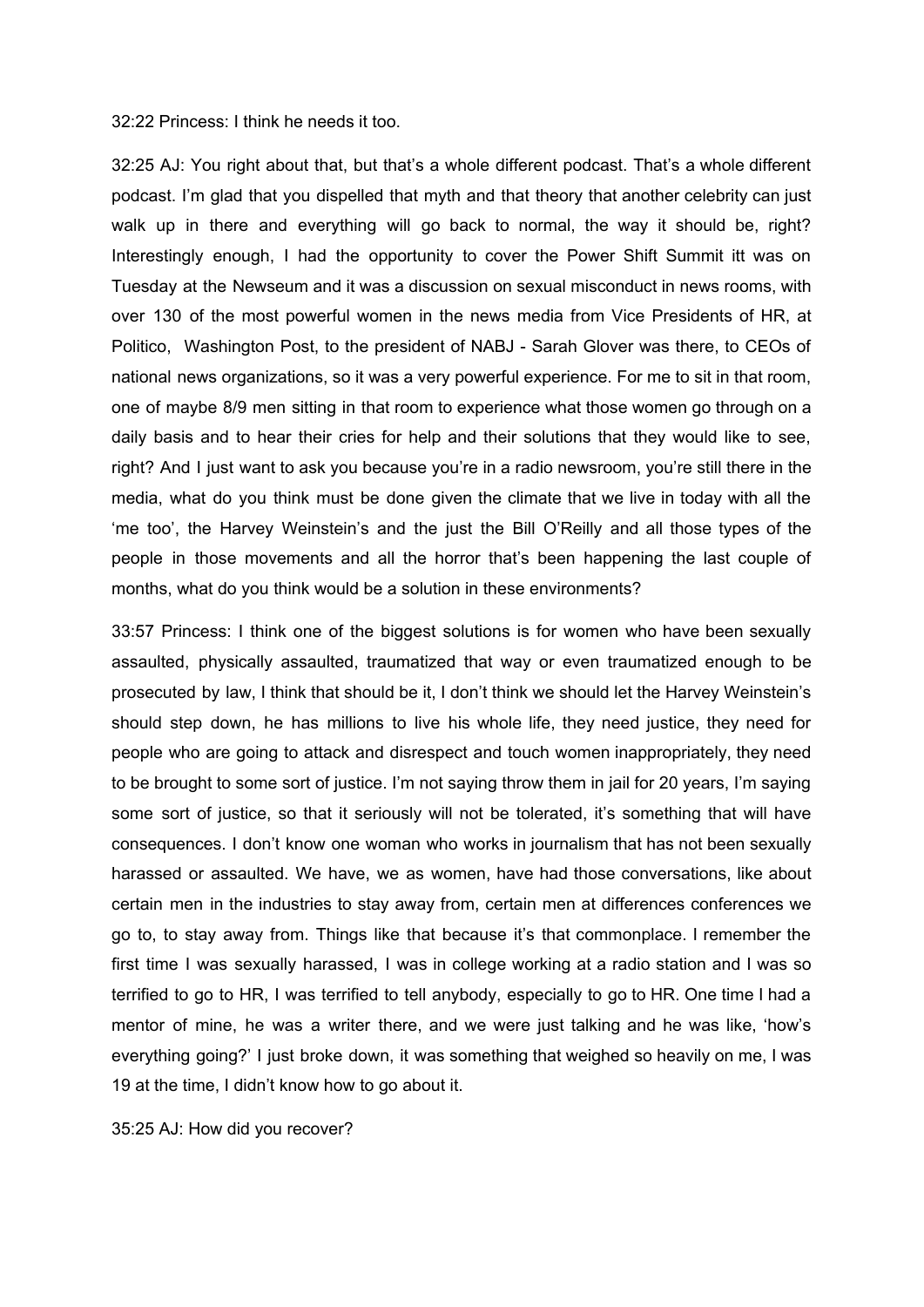32:22 Princess: I think he needs it too.

32:25 AJ: You right about that, but that's a whole different podcast. That's a whole different podcast. I'm glad that you dispelled that myth and that theory that another celebrity can just walk up in there and everything will go back to normal, the way it should be, right? Interestingly enough, I had the opportunity to cover the Power Shift Summit itt was on Tuesday at the Newseum and it was a discussion on sexual misconduct in news rooms, with over 130 of the most powerful women in the news media from Vice Presidents of HR, at Politico, Washington Post, to the president of NABJ - Sarah Glover was there, to CEOs of national news organizations, so it was a very powerful experience. For me to sit in that room, one of maybe 8/9 men sitting in that room to experience what those women go through on a daily basis and to hear their cries for help and their solutions that they would like to see, right? And I just want to ask you because you're in a radio newsroom, you're still there in the media, what do you think must be done given the climate that we live in today with all the 'me too', the Harvey Weinstein's and the just the Bill O'Reilly and all those types of the people in those movements and all the horror that's been happening the last couple of months, what do you think would be a solution in these environments?

33:57 Princess: I think one of the biggest solutions is for women who have been sexually assaulted, physically assaulted, traumatized that way or even traumatized enough to be prosecuted by law, I think that should be it, I don't think we should let the Harvey Weinstein's should step down, he has millions to live his whole life, they need justice, they need for people who are going to attack and disrespect and touch women inappropriately, they need to be brought to some sort of justice. I'm not saying throw them in jail for 20 years, I'm saying some sort of justice, so that it seriously will not be tolerated, it's something that will have consequences. I don't know one woman who works in journalism that has not been sexually harassed or assaulted. We have, we as women, have had those conversations, like about certain men in the industries to stay away from, certain men at differences conferences we go to, to stay away from. Things like that because it's that commonplace. I remember the first time I was sexually harassed, I was in college working at a radio station and I was so terrified to go to HR, I was terrified to tell anybody, especially to go to HR. One time I had a mentor of mine, he was a writer there, and we were just talking and he was like, 'how's everything going?' I just broke down, it was something that weighed so heavily on me, I was 19 at the time, I didn't know how to go about it.

35:25 AJ: How did you recover?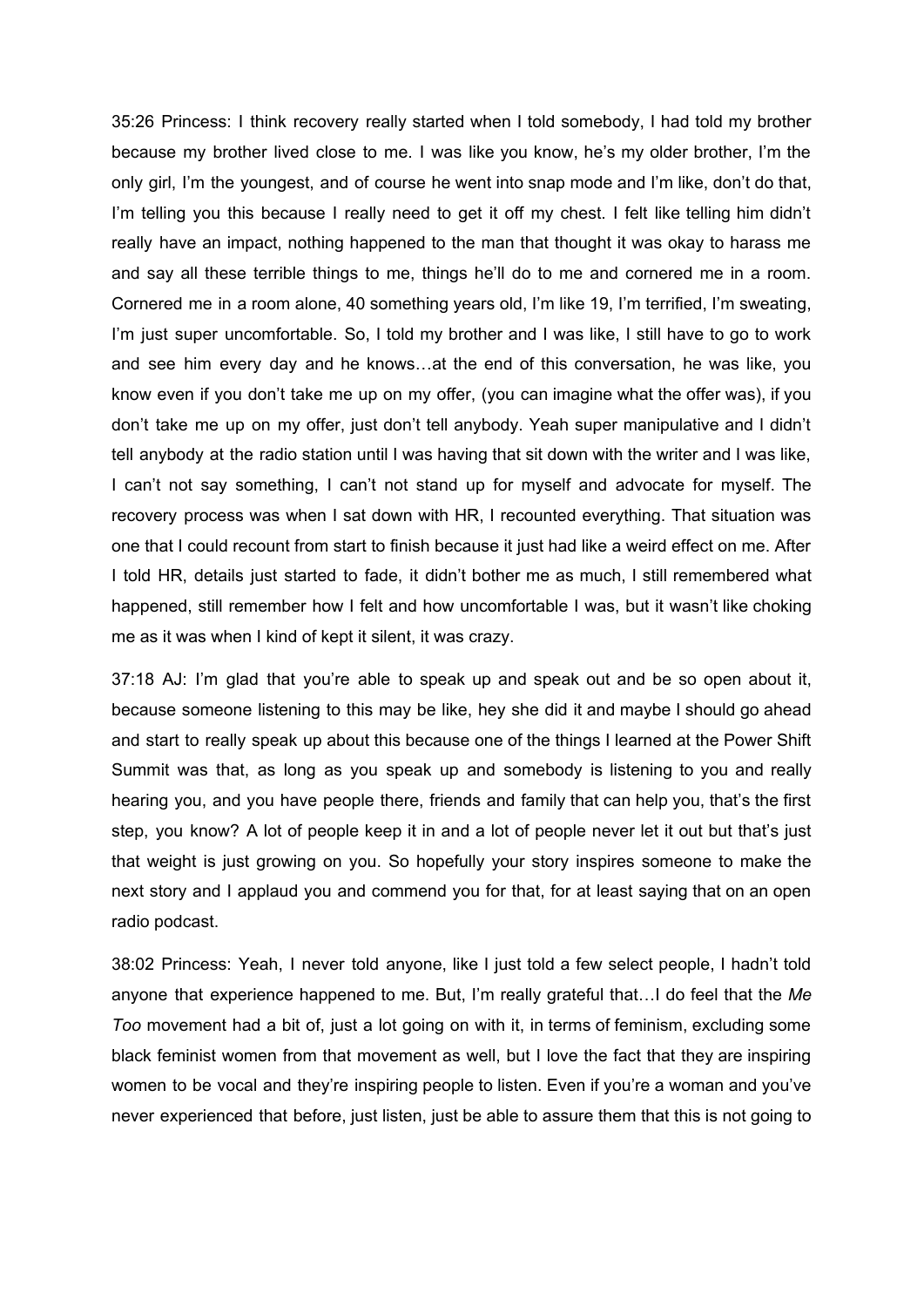35:26 Princess: I think recovery really started when I told somebody, I had told my brother because my brother lived close to me. I was like you know, he's my older brother, I'm the only girl, I'm the youngest, and of course he went into snap mode and I'm like, don't do that, I'm telling you this because I really need to get it off my chest. I felt like telling him didn't really have an impact, nothing happened to the man that thought it was okay to harass me and say all these terrible things to me, things he'll do to me and cornered me in a room. Cornered me in a room alone, 40 something years old, I'm like 19, I'm terrified, I'm sweating, I'm just super uncomfortable. So, I told my brother and I was like, I still have to go to work and see him every day and he knows…at the end of this conversation, he was like, you know even if you don't take me up on my offer, (you can imagine what the offer was), if you don't take me up on my offer, just don't tell anybody. Yeah super manipulative and I didn't tell anybody at the radio station until I was having that sit down with the writer and I was like, I can't not say something, I can't not stand up for myself and advocate for myself. The recovery process was when I sat down with HR, I recounted everything. That situation was one that I could recount from start to finish because it just had like a weird effect on me. After I told HR, details just started to fade, it didn't bother me as much, I still remembered what happened, still remember how I felt and how uncomfortable I was, but it wasn't like choking me as it was when I kind of kept it silent, it was crazy.

37:18 AJ: I'm glad that you're able to speak up and speak out and be so open about it, because someone listening to this may be like, hey she did it and maybe I should go ahead and start to really speak up about this because one of the things I learned at the Power Shift Summit was that, as long as you speak up and somebody is listening to you and really hearing you, and you have people there, friends and family that can help you, that's the first step, you know? A lot of people keep it in and a lot of people never let it out but that's just that weight is just growing on you. So hopefully your story inspires someone to make the next story and I applaud you and commend you for that, for at least saying that on an open radio podcast.

38:02 Princess: Yeah, I never told anyone, like I just told a few select people, I hadn't told anyone that experience happened to me. But, I'm really grateful that…I do feel that the *Me Too* movement had a bit of, just a lot going on with it, in terms of feminism, excluding some black feminist women from that movement as well, but I love the fact that they are inspiring women to be vocal and they're inspiring people to listen. Even if you're a woman and you've never experienced that before, just listen, just be able to assure them that this is not going to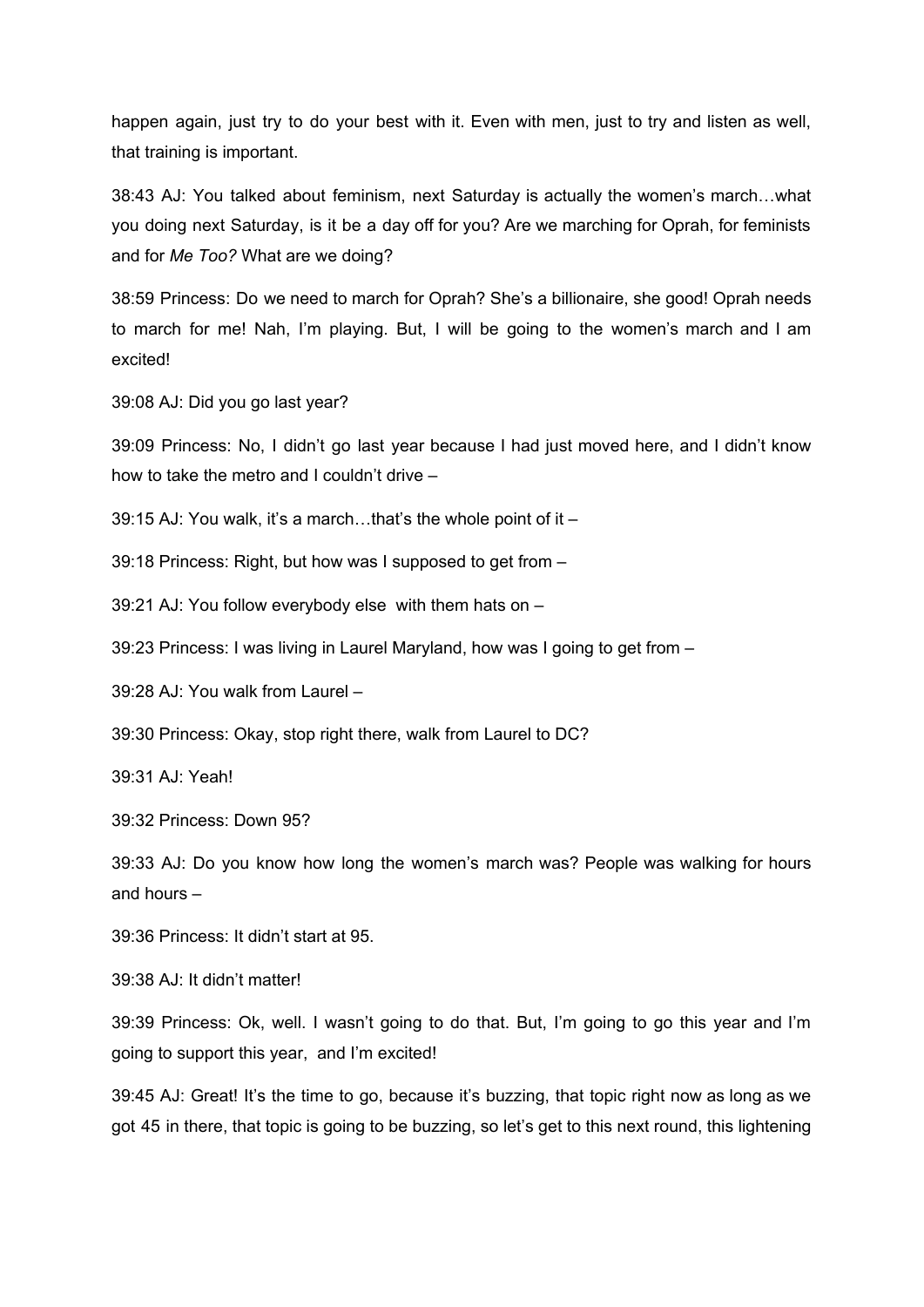happen again, just try to do your best with it. Even with men, just to try and listen as well, that training is important.

38:43 AJ: You talked about feminism, next Saturday is actually the women's march…what you doing next Saturday, is it be a day off for you? Are we marching for Oprah, for feminists and for *Me Too?* What are we doing?

38:59 Princess: Do we need to march for Oprah? She's a billionaire, she good! Oprah needs to march for me! Nah, I'm playing. But, I will be going to the women's march and I am excited!

39:08 AJ: Did you go last year?

39:09 Princess: No, I didn't go last year because I had just moved here, and I didn't know how to take the metro and I couldn't drive –

39:15 AJ: You walk, it's a march…that's the whole point of it –

39:18 Princess: Right, but how was I supposed to get from –

39:21 AJ: You follow everybody else with them hats on –

39:23 Princess: I was living in Laurel Maryland, how was I going to get from –

39:28 AJ: You walk from Laurel –

39:30 Princess: Okay, stop right there, walk from Laurel to DC?

39:31 AJ: Yeah!

39:32 Princess: Down 95?

39:33 AJ: Do you know how long the women's march was? People was walking for hours and hours –

39:36 Princess: It didn't start at 95.

39:38 AJ: It didn't matter!

39:39 Princess: Ok, well. I wasn't going to do that. But, I'm going to go this year and I'm going to support this year, and I'm excited!

39:45 AJ: Great! It's the time to go, because it's buzzing, that topic right now as long as we got 45 in there, that topic is going to be buzzing, so let's get to this next round, this lightening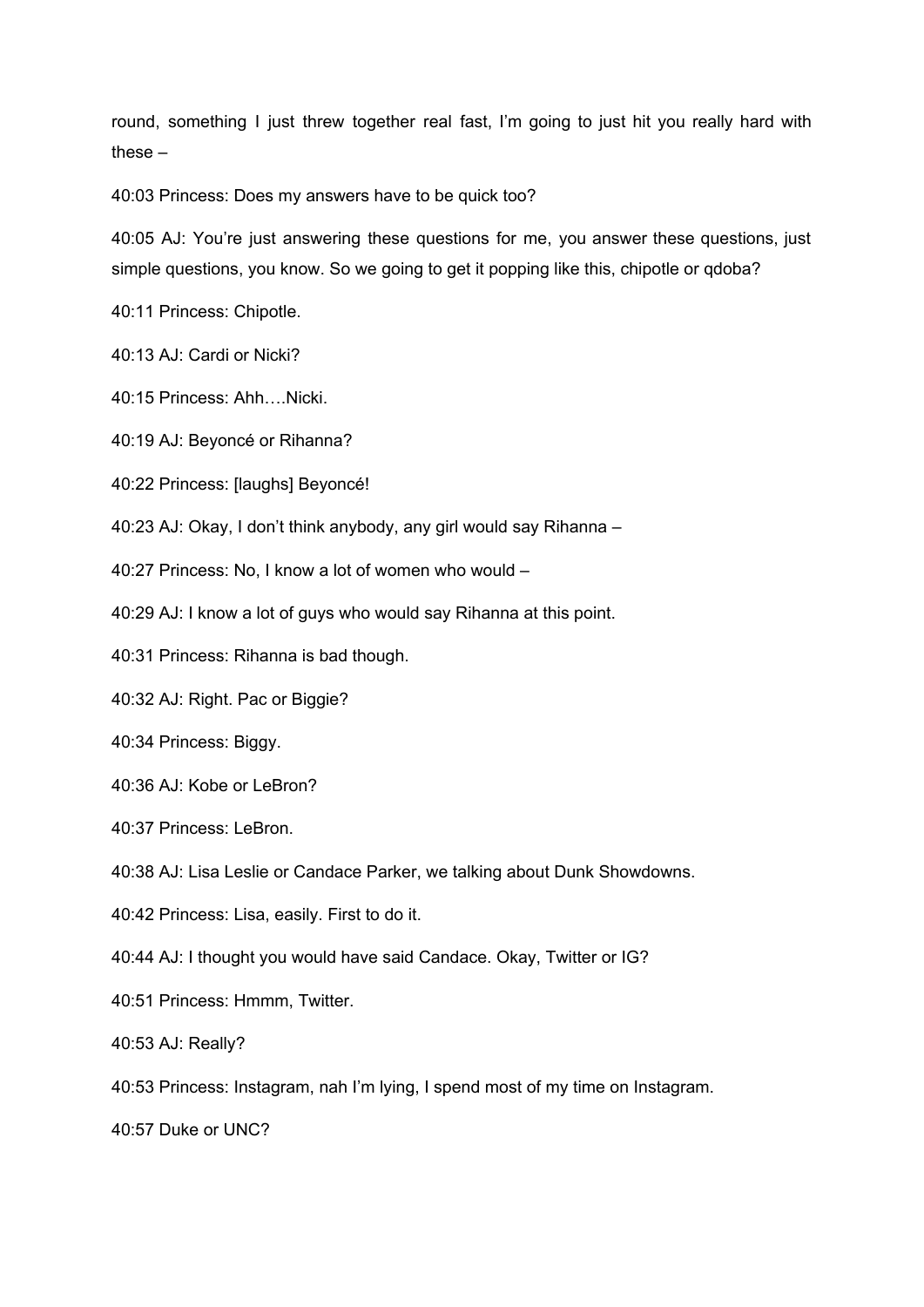round, something I just threw together real fast, I'm going to just hit you really hard with these –

40:03 Princess: Does my answers have to be quick too?

40:05 AJ: You're just answering these questions for me, you answer these questions, just simple questions, you know. So we going to get it popping like this, chipotle or qdoba?

40:11 Princess: Chipotle.

40:13 AJ: Cardi or Nicki?

40:15 Princess: Ahh….Nicki.

40:19 AJ: Beyoncé or Rihanna?

40:22 Princess: [laughs] Beyoncé!

40:23 AJ: Okay, I don't think anybody, any girl would say Rihanna –

40:27 Princess: No, I know a lot of women who would –

40:29 AJ: I know a lot of guys who would say Rihanna at this point.

40:31 Princess: Rihanna is bad though.

40:32 AJ: Right. Pac or Biggie?

40:34 Princess: Biggy.

40:36 AJ: Kobe or LeBron?

40:37 Princess: LeBron.

40:38 AJ: Lisa Leslie or Candace Parker, we talking about Dunk Showdowns.

40:42 Princess: Lisa, easily. First to do it.

40:44 AJ: I thought you would have said Candace. Okay, Twitter or IG?

40:51 Princess: Hmmm, Twitter.

40:53 AJ: Really?

40:53 Princess: Instagram, nah I'm lying, I spend most of my time on Instagram.

40:57 Duke or UNC?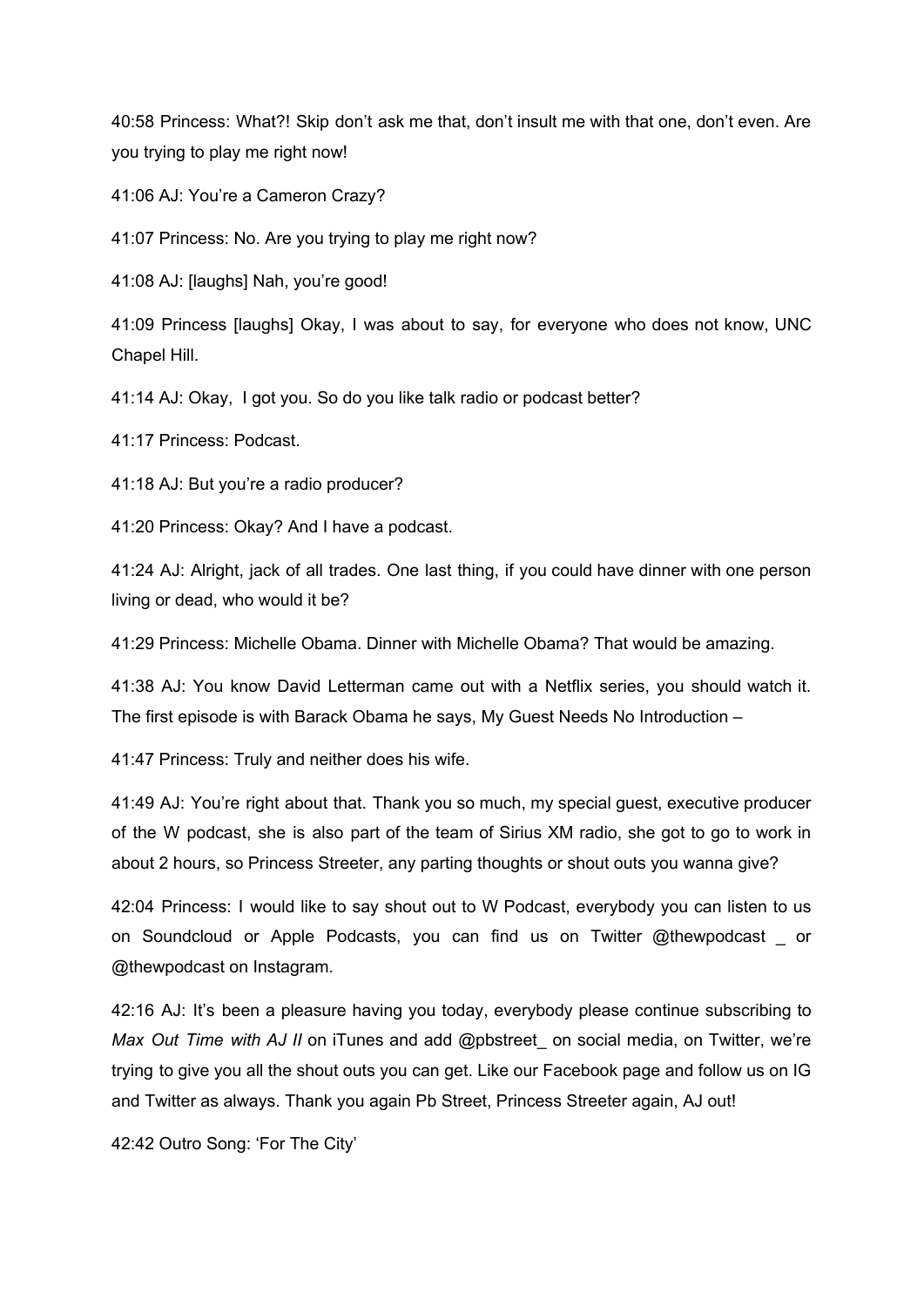40:58 Princess: What?! Skip don't ask me that, don't insult me with that one, don't even. Are you trying to play me right now!

41:06 AJ: You're a Cameron Crazy?

41:07 Princess: No. Are you trying to play me right now?

41:08 AJ: [laughs] Nah, you're good!

41:09 Princess [laughs] Okay, I was about to say, for everyone who does not know, UNC Chapel Hill.

41:14 AJ: Okay, I got you. So do you like talk radio or podcast better?

41:17 Princess: Podcast.

41:18 AJ: But you're a radio producer?

41:20 Princess: Okay? And I have a podcast.

41:24 AJ: Alright, jack of all trades. One last thing, if you could have dinner with one person living or dead, who would it be?

41:29 Princess: Michelle Obama. Dinner with Michelle Obama? That would be amazing.

41:38 AJ: You know David Letterman came out with a Netflix series, you should watch it. The first episode is with Barack Obama he says, My Guest Needs No Introduction –

41:47 Princess: Truly and neither does his wife.

41:49 AJ: You're right about that. Thank you so much, my special guest, executive producer of the W podcast, she is also part of the team of Sirius XM radio, she got to go to work in about 2 hours, so Princess Streeter, any parting thoughts or shout outs you wanna give?

42:04 Princess: I would like to say shout out to W Podcast, everybody you can listen to us on Soundcloud or Apple Podcasts, you can find us on Twitter @thewpodcast \_ or @thewpodcast on Instagram.

42:16 AJ: It's been a pleasure having you today, everybody please continue subscribing to *Max Out Time with AJ II* on iTunes and add @pbstreet\_ on social media, on Twitter, we're trying to give you all the shout outs you can get. Like our Facebook page and follow us on IG and Twitter as always. Thank you again Pb Street, Princess Streeter again, AJ out!

42:42 Outro Song: 'For The City'